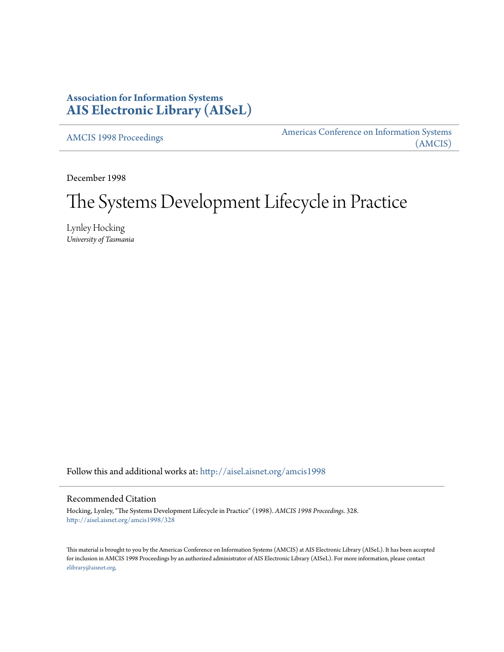# **Association for Information Systems [AIS Electronic Library \(AISeL\)](http://aisel.aisnet.org?utm_source=aisel.aisnet.org%2Famcis1998%2F328&utm_medium=PDF&utm_campaign=PDFCoverPages)**

[AMCIS 1998 Proceedings](http://aisel.aisnet.org/amcis1998?utm_source=aisel.aisnet.org%2Famcis1998%2F328&utm_medium=PDF&utm_campaign=PDFCoverPages)

[Americas Conference on Information Systems](http://aisel.aisnet.org/amcis?utm_source=aisel.aisnet.org%2Famcis1998%2F328&utm_medium=PDF&utm_campaign=PDFCoverPages) [\(AMCIS\)](http://aisel.aisnet.org/amcis?utm_source=aisel.aisnet.org%2Famcis1998%2F328&utm_medium=PDF&utm_campaign=PDFCoverPages)

December 1998

# The Systems Development Lifecycle in Practice

Lynley Hocking *University of Tasmania*

Follow this and additional works at: [http://aisel.aisnet.org/amcis1998](http://aisel.aisnet.org/amcis1998?utm_source=aisel.aisnet.org%2Famcis1998%2F328&utm_medium=PDF&utm_campaign=PDFCoverPages)

#### Recommended Citation

Hocking, Lynley, "The Systems Development Lifecycle in Practice" (1998). *AMCIS 1998 Proceedings*. 328. [http://aisel.aisnet.org/amcis1998/328](http://aisel.aisnet.org/amcis1998/328?utm_source=aisel.aisnet.org%2Famcis1998%2F328&utm_medium=PDF&utm_campaign=PDFCoverPages)

This material is brought to you by the Americas Conference on Information Systems (AMCIS) at AIS Electronic Library (AISeL). It has been accepted for inclusion in AMCIS 1998 Proceedings by an authorized administrator of AIS Electronic Library (AISeL). For more information, please contact [elibrary@aisnet.org.](mailto:elibrary@aisnet.org%3E)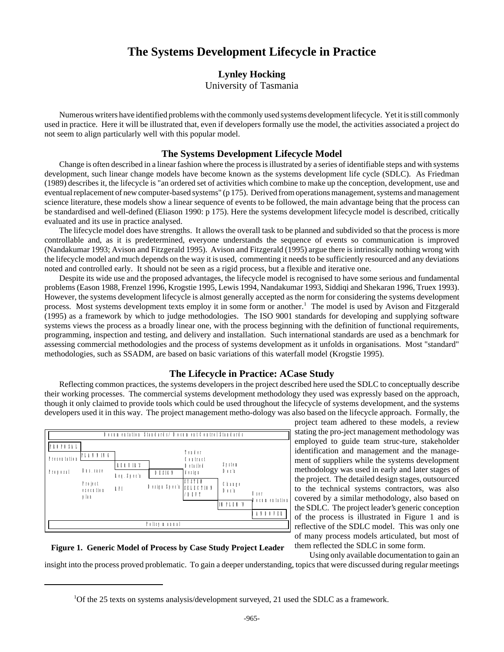# **The Systems Development Lifecycle in Practice**

#### **Lynley Hocking**

University of Tasmania

Numerous writers have identified problems with the commonly used systems development lifecycle. Yet it is still commonly used in practice. Here it will be illustrated that, even if developers formally use the model, the activities associated a project do not seem to align particularly well with this popular model.

#### **The Systems Development Lifecycle Model**

Change is often described in a linear fashion where the process is illustrated by a series of identifiable steps and with systems development, such linear change models have become known as the systems development life cycle (SDLC). As Friedman (1989) describes it, the lifecycle is "an ordered set of activities which combine to make up the conception, development, use and eventual replacement of new computer-based systems" (p 175). Derived from operations management, systems and management science literature, these models show a linear sequence of events to be followed, the main advantage being that the process can be standardised and well-defined (Eliason 1990: p 175). Here the systems development lifecycle model is described, critically evaluated and its use in practice analysed.

The lifecycle model does have strengths. It allows the overall task to be planned and subdivided so that the process is more controllable and, as it is predetermined, everyone understands the sequence of events so communication is improved (Nandakumar 1993; Avison and Fitzgerald 1995). Avison and Fitzgerald (1995) argue there is intrinsically nothing wrong with the lifecycle model and much depends on the way it is used, commenting it needs to be sufficiently resourced and any deviations noted and controlled early. It should not be seen as a rigid process, but a flexible and iterative one.

Despite its wide use and the proposed advantages, the lifecycle model is recognised to have some serious and fundamental problems (Eason 1988, Frenzel 1996, Krogstie 1995, Lewis 1994, Nandakumar 1993, Siddiqi and Shekaran 1996, Truex 1993). However, the systems development lifecycle is almost generally accepted as the norm for considering the systems development process. Most systems development texts employ it in some form or another.<sup>1</sup> The model is used by Avison and Fitzgerald (1995) as a framework by which to judge methodologies. The ISO 9001 standards for developing and supplying software systems views the process as a broadly linear one, with the process beginning with the definition of functional requirements, programming, inspection and testing, and delivery and installation. Such international standards are used as a benchmark for assessing commercial methodologies and the process of systems development as it unfolds in organisations. Most "standard" methodologies, such as SSADM, are based on basic variations of this waterfall model (Krogstie 1995).

#### **The Lifecycle in Practice: ACase Study**

Reflecting common practices, the systems developers in the project described here used the SDLC to conceptually describe their working processes. The commercial systems development methodology they used was expressly based on the approach, though it only claimed to provide tools which could be used throughout the lifecycle of systems development, and the systems developers used it in this way. The project management metho-dology was also based on the lifecycle approach. Formally, the



project team adhered to these models, a review stating the pro-ject management methodology was employed to guide team struc-ture, stakeholder identification and management and the management of suppliers while the systems development methodology was used in early and later stages of the project. The detailed design stages, outsourced to the technical systems contractors, was also covered by a similar methodology, also based on the SDLC. The project leader's generic conception of the process is illustrated in Figure 1 and is reflective of the SDLC model. This was only one of many process models articulated, but most of them reflected the SDLC in some form.

## **Figure 1. Generic Model of Process by Case Study Project Leader**

Using only available documentation to gain an insight into the process proved problematic. To gain a deeper understanding, topics that were discussed during regular meetings

<sup>&</sup>lt;sup>1</sup>Of the 25 texts on systems analysis/development surveyed, 21 used the SDLC as a framework.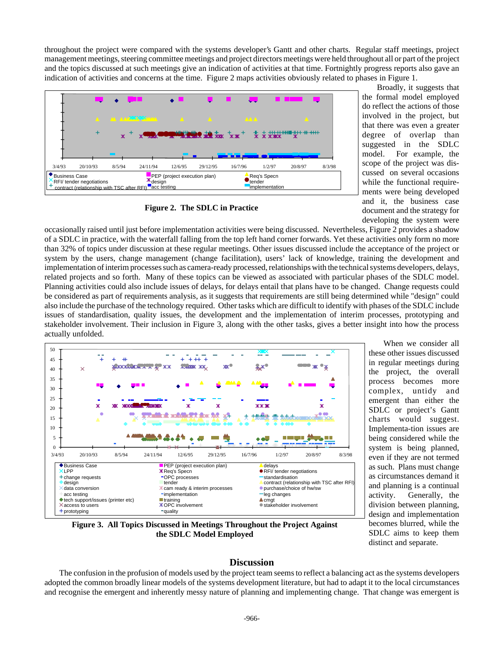throughout the project were compared with the systems developer's Gantt and other charts. Regular staff meetings, project management meetings, steering committee meetings and project directors meetings were held throughout all or part of the project and the topics discussed at such meetings give an indication of activities at that time. Fortnightly progress reports also gave an indication of activities and concerns at the time. Figure 2 maps activities obviously related to phases in Figure 1.



Broadly, it suggests that the formal model employed do reflect the actions of those involved in the project, but that there was even a greater degree of overlap than suggested in the SDLC model. For example, the scope of the project was discussed on several occasions while the functional requirements were being developed and it, the business case document and the strategy for developing the system were

### **Figure 2. The SDLC in Practice**

occasionally raised until just before implementation activities were being discussed. Nevertheless, Figure 2 provides a shadow of a SDLC in practice, with the waterfall falling from the top left hand corner forwards. Yet these activities only form no more than 32% of topics under discussion at these regular meetings. Other issues discussed include the acceptance of the project or system by the users, change management (change facilitation), users' lack of knowledge, training the development and implementation of interim processes such as camera-ready processed, relationships with the technical systems developers, delays, related projects and so forth. Many of these topics can be viewed as associated with particular phases of the SDLC model. Planning activities could also include issues of delays, for delays entail that plans have to be changed. Change requests could be considered as part of requirements analysis, as it suggests that requirements are still being determined while "design" could also include the purchase of the technology required. Other tasks which are difficult to identify with phases of the SDLC include issues of standardisation, quality issues, the development and the implementation of interim processes, prototyping and stakeholder involvement. Their inclusion in Figure 3, along with the other tasks, gives a better insight into how the process actually unfolded.



When we consider all these other issues discussed in regular meetings during the project, the overall process becomes more complex, untidy and emergent than either the SDLC or project's Gantt charts would suggest. Implementa-tion issues are being considered while the system is being planned, even if they are not termed as such. Plans must change as circumstances demand it and planning is a continual activity. Generally, the division between planning, design and implementation becomes blurred, while the SDLC aims to keep them distinct and separate.

**Figure 3. All Topics Discussed in Meetings Throughout the Project Against the SDLC Model Employed**

## **Discussion**

The confusion in the profusion of models used by the project team seems to reflect a balancing act as the systems developers adopted the common broadly linear models of the systems development literature, but had to adapt it to the local circumstances and recognise the emergent and inherently messy nature of planning and implementing change. That change was emergent is